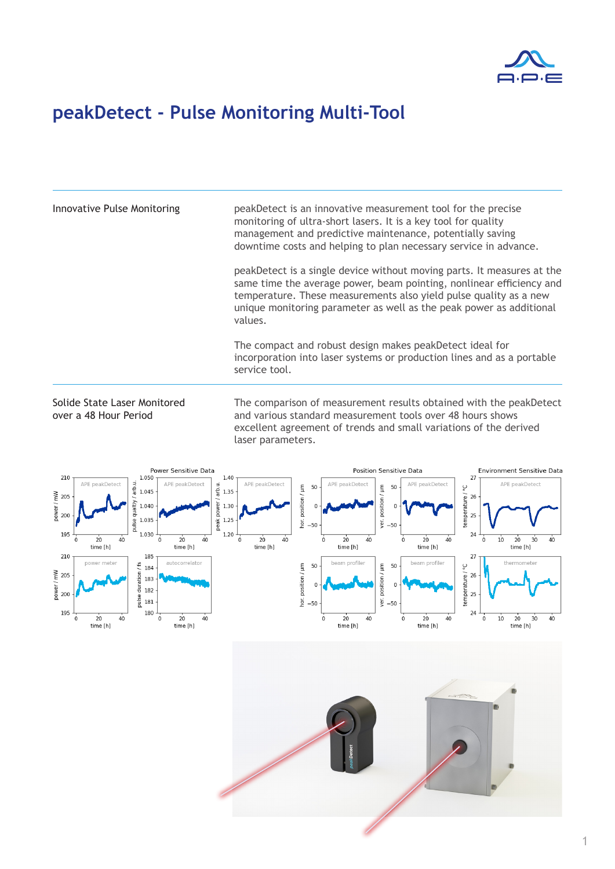

## **peakDetect - Pulse Monitoring Multi-Tool**

Innovative Pulse Monitoring peakDetect is an innovative measurement tool for the precise monitoring of ultra-short lasers. It is a key tool for quality management and predictive maintenance, potentially saving downtime costs and helping to plan necessary service in advance.

> peakDetect is a single device without moving parts. It measures at the same time the average power, beam pointing, nonlinear efficiency and temperature. These measurements also yield pulse quality as a new unique monitoring parameter as well as the peak power as additional values.

The compact and robust design makes peakDetect ideal for incorporation into laser systems or production lines and as a portable service tool.

Solide State Laser Monitored over a 48 Hour Period

The comparison of measurement results obtained with the peakDetect and various standard measurement tools over 48 hours shows excellent agreement of trends and small variations of the derived laser parameters.



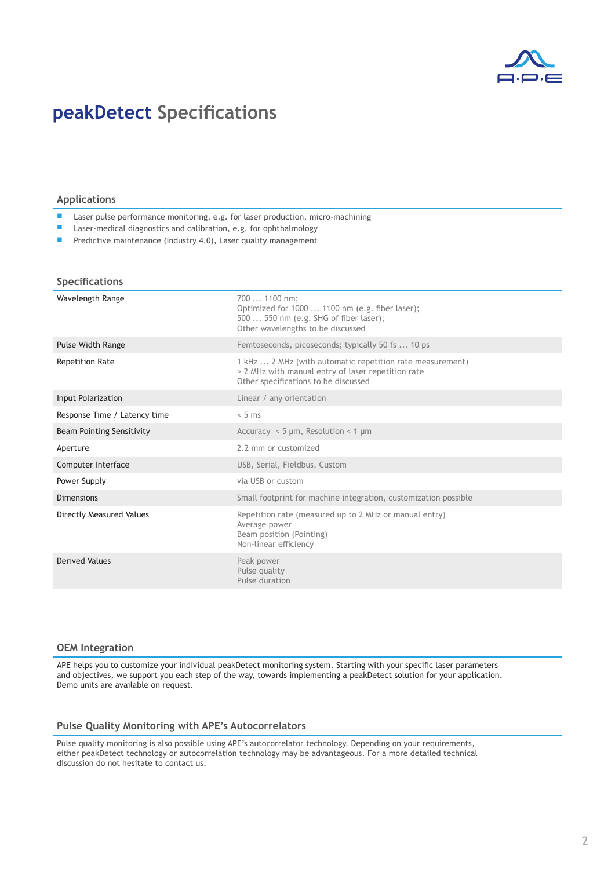

## **peakDetect Specifications**

### **Applications**

- Laser pulse performance monitoring, e.g. for laser production, micro-machining
- Laser-medical diagnostics and calibration, e.g. for ophthalmology
- Predictive maintenance (Industry 4.0), Laser quality management

#### **Specifications**

| Wavelength Range                 | 700  1100 nm;<br>Optimized for 1000  1100 nm (e.g. fiber laser);<br>500  550 nm (e.g. SHG of fiber laser);<br>Other wavelengths to be discussed         |
|----------------------------------|---------------------------------------------------------------------------------------------------------------------------------------------------------|
| <b>Pulse Width Range</b>         | Femtoseconds, picoseconds; typically 50 fs  10 ps                                                                                                       |
| <b>Repetition Rate</b>           | 1 kHz  2 MHz (with automatic repetition rate measurement)<br>> 2 MHz with manual entry of laser repetition rate<br>Other specifications to be discussed |
| Input Polarization               | Linear / any orientation                                                                                                                                |
| Response Time / Latency time     | $< 5$ ms                                                                                                                                                |
| <b>Beam Pointing Sensitivity</b> | Accuracy $\leq$ 5 µm, Resolution $\leq$ 1 µm                                                                                                            |
| Aperture                         | 2.2 mm or customized                                                                                                                                    |
| Computer Interface               | USB, Serial, Fieldbus, Custom                                                                                                                           |
| Power Supply                     | via USB or custom                                                                                                                                       |
| <b>Dimensions</b>                | Small footprint for machine integration, customization possible                                                                                         |
| <b>Directly Measured Values</b>  | Repetition rate (measured up to 2 MHz or manual entry)<br>Average power<br>Beam position (Pointing)<br>Non-linear efficiency                            |
| <b>Derived Values</b>            | Peak power<br>Pulse quality<br>Pulse duration                                                                                                           |

#### **OEM Integration**

APE helps you to customize your individual peakDetect monitoring system. Starting with your specific laser parameters and objectives, we support you each step of the way, towards implementing a peakDetect solution for your application. Demo units are available on request.

#### **Pulse Quality Monitoring with APE's Autocorrelators**

Pulse quality monitoring is also possible using APE's autocorrelator technology. Depending on your requirements, either peakDetect technology or autocorrelation technology may be advantageous. For a more detailed technical discussion do not hesitate to contact us.